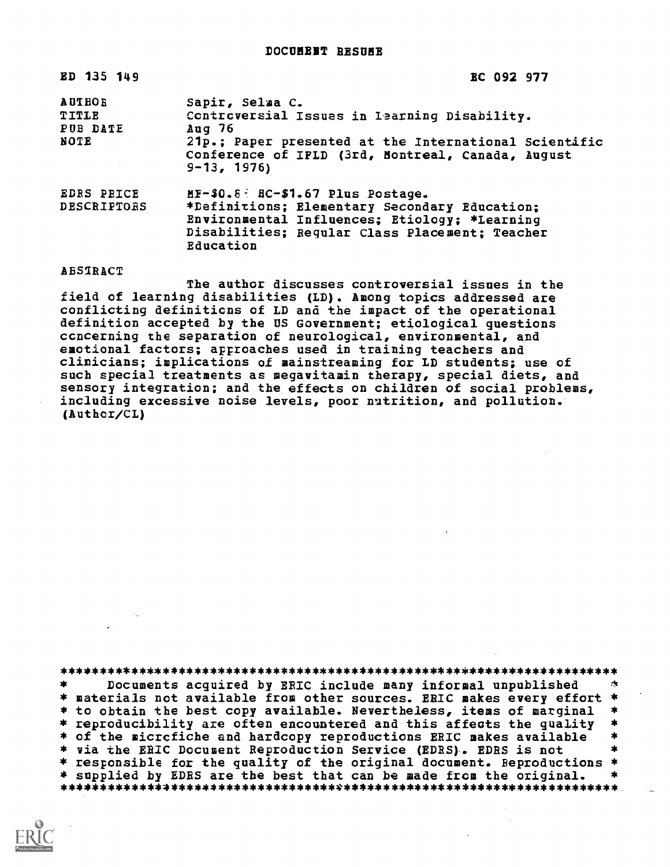| ED 135 149                                 | <b>EC 092 977</b>                                                                                                                                                                                                    |
|--------------------------------------------|----------------------------------------------------------------------------------------------------------------------------------------------------------------------------------------------------------------------|
| <b>AUTHOR</b><br>TITLE<br>PUB DATE<br>NOTE | Sapir, Selma C.<br>Controversial Issues in Iearning Disability.<br>Aug <sub>76</sub><br>21p.; Paper presented at the International Scientific<br>Conference of IFLD (3rd, Montreal, Canada, August<br>$9 - 13, 1976$ |
| <b>EDRS PRICE</b><br>DESCRIPTORS           | $MF-40.8$ : $RC-41.67$ Plus Postage.<br>*Definitions; Elementary Secondary Education;<br>Environmental Influences; Etiology; *Learning<br>Disabilities; Reqular Class Placement; Teacher<br>Education                |

## ABSTRACT

The author discusses controversial issues in the field of learning disabilities (LD). Among topics addressed are conflicting definitions of LD and the impact of the operational definition accepted by the US Government; etiological questions concerning the separation of neurological, environmental, and emotional factors; approaches used in training teachers and clinicians; implications of mainstreaming for ID students; use of such special treatments as megavitamin therapy, special diets, and sensory integration; and the effects on children of social problems, including excessive noise levels, poor nutrition, and pollution. (Author/CL)

\*\*\*\*\*\*\*\*\*\*\*\*\*\*\*\*\*\*\*\*\*\*\*\*\*\*\*\*\*\*\*\*\*\*\*\*\*\*\*\*\*\*\*\*\*\*\*\*\*\*\*\*\*\*\*\*\*\*\*\*\*\*\*\*\*\*\*\*\*\*\* Documents acquired by ERIC include many informal unpublished \* materials not available from other sources. ERIC makes every effort \* \* to obtain the best copy available. Nevertheless, items of marginal<br>\* reproducibility are often encountered and this affects the quality \* reproducibility are often encountered and this affects the quality \*<br>\* of the microfiche and hardcopy reproductions ERIC makes available \* \* via the ERIC Document Reproduction Service (EDRS). EDRS is not \* responsible for the quality of the original document. Reproductions \* \* supplied by EDRS are the best that can be made from the original. \*\*\*\*\*\*\*\*\*\*\*\*\*\*\*\*\*\*\*\*\*\*\*\*\*\*\*\*\*\*\*\*\*\*\*\*\*\*\*\*\*\*\*\*\*\*\*\*\*\*\*\*\*\*\*\*\*\*\*\*\*\*\*\*\*\*\*\*\*\*\*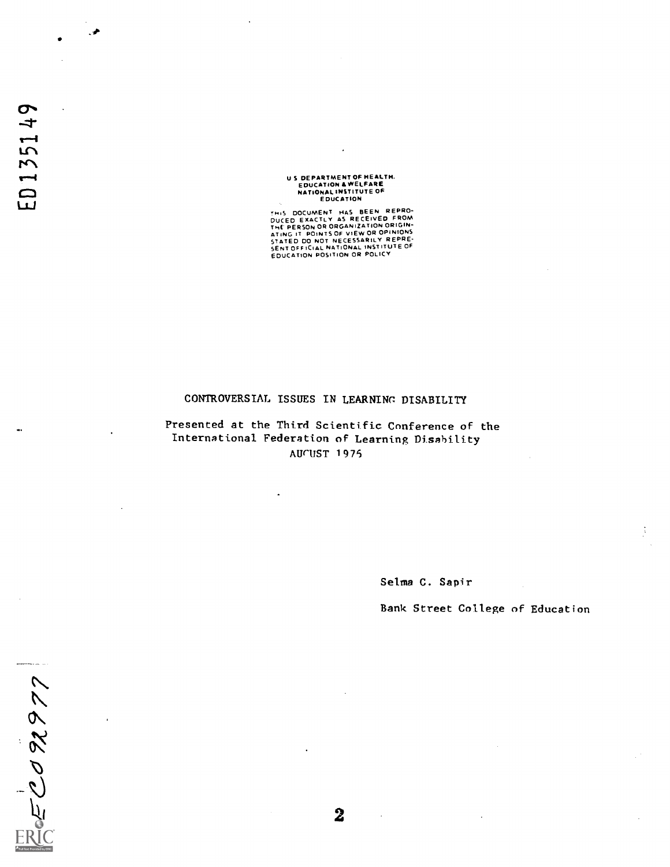U S DEPARTMENT OF HEALTH. EDUCATION & WELFARE NATIONAL INSTITUTE OF EDUCATION

THIS DOCUMENT HAS BEEN REPROM<br>DUCED EXACTLY AS RECEIVED FROM<br>THE PERSON OR ORGANIZATION ORIGINATING IT POINTS OF VIEW OR OPINIONS<br>STATED DO NOT NECESSARILY REPRE-<br>SENTOFFICIAL NATIONAL INSTITUTE OF<br>EDUCATION POSITION OR PO

## CONTROVERSIAL ISSUES IN LEARNINC DISABILITY

Presented at the Third Scientific Conference of the International Federation of Learning Disability AUCUST 1975

Selma C. Sapir

Bank Street College of Education

2092977

 $\bf{2}$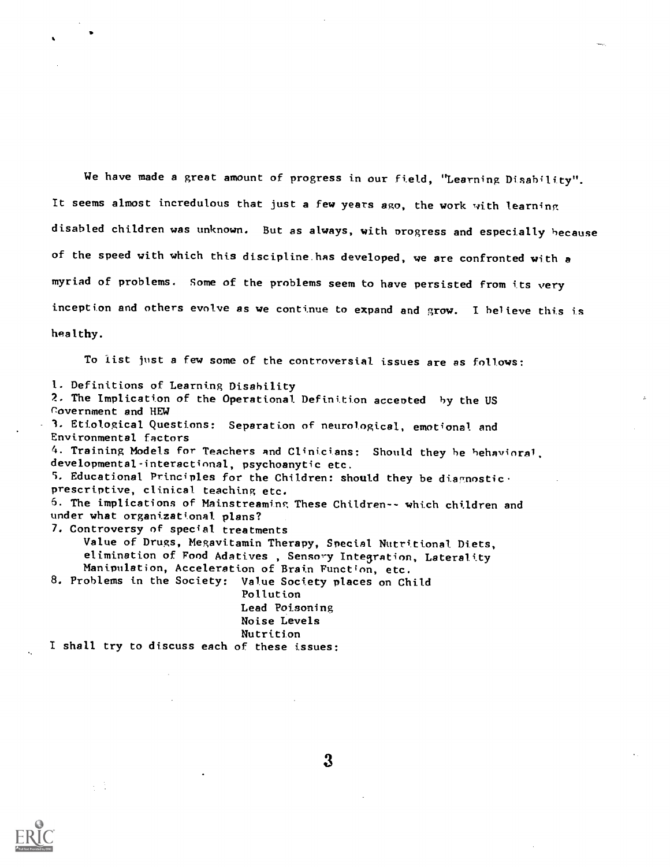We have made a great amount of progress in our field, "Learning Disability". It seems almost incredulous that just a few years ago, the work with learning disabled children was unknown. But as always, with progress and especially because of the speed with which this discipline.has developed, we are confronted with a myriad of problems. Some of the problems seem to have persisted from its very inception and others evolve as we continue to expand and grow. I believe this is healthy.

To list just a few some of the controversial issues are as follows:

1. Definitions of Learning Disability 2. The Implication of the Operational Definition accented by the US rovernment and HEW 1. Etiological Questions: Separation of neurological, emotional and Environmental factors 4. Training Models for Teachers and Clinicians: Should they be behavioral, developmental-interactional, psychoanytic etc. 5. Educational Principles for the Children: should they be diagnostic. prescriptive, clinical teaching etc. 6. The implications of Mainstreaming These Children-- which children and under what organizational plans? 7. Controversy of special treatments Value of Drugs, Megavitamin Therapy, Special Nutritional Diets, elimination of Food Adatives, Sensory Integration, Laterality Manipulation, Acceleration of Brain Function, etc. 8. Problems in the Society: Value Society places on Child Pollution Lead Poisoning Noise Levels Nutrition I shall try to discuss each of these issues:



i, t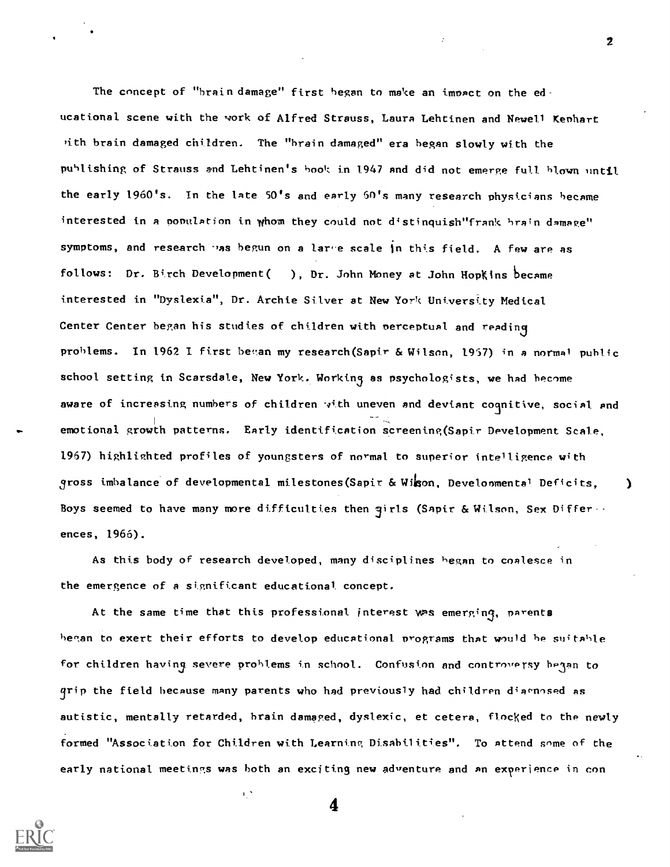The concept of "brain damage" first began to make an impact on the educational scene with the work of Alfred Strauss, Laura Lehtinen and Newell Kephart ,ith brain damaged children. The "brain damaged" era began slowly with the publishing of Strauss and Lehtinen's book in 1947 and did not emerge full blown until the early 1960's. In the late 50's and early 60's many research physicians became interested in a population in whom they could not distinquish"frank brain damage" symptoms, and research was begun on a large scale in this field. A few are as follows: Dr. Birch Development( ), Dr. John Money at John Hopkins became interested in "Dyslexia", Dr. Archie Silver at New York Untverstty Medical Center Center began his studies of children with perceptual and reading problems. In 1962 I first began my research (Sapir & Wilson, 1957) in a normal public school setting in Scarsdale, New York. Working as psychologists, we had become aware of increasing numbers of children with uneven and deviant coqnitive, social and emotional growth patterns. Early identification screening(Sapir Development Scale, 1967) highlighted profiles of youngsters of normal to superior intelligence with gross imbalance of developmental milestones(Sapir & Wigon, Developmental Deficits, ) Boys seemed to have many more difficulties then  $q$ irls (Sapir & Wilson, Sex Differ ... ences, 1966).

As this body of research developed, many disciplines began to coalesce in the emergence of a significant educational concept.

At the same time that this professional interest was emerging, parents began to exert their efforts to develop educational programs that would be suitable for children having severe problems in school. Confusion and controversy be3an to grip the field because many parents who had previously had children diaenosed as autistic, mentally retarded, brain damaged, dyslexic, et cetera, flocked to the newly formed "Association for Children with Learning Disabilities". To attend some of the early national meetings was both an exciting new adventure and an exyerience in con



4

τŅ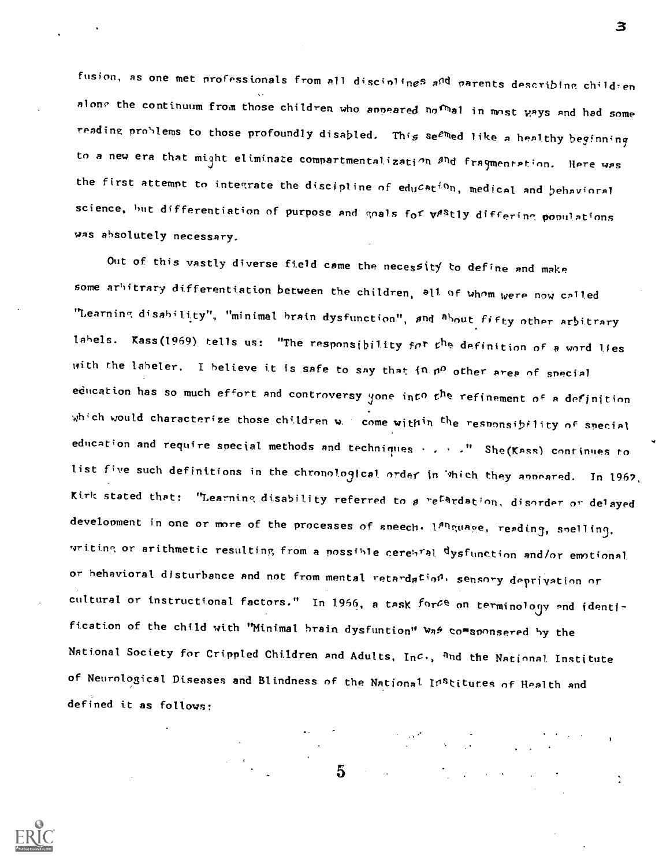fusion, as one met professionals from all discinlines a<sup>nd</sup> parents describing child-en along the continuum from those children who anneared nofulal in most ways and had some reading problems to those profoundly disabled. This se<sup>em</sup>ed like a healthy beginning to a new era that might eliminate compartmentalization and fragmentation. Here was the first attempt to integrate the discipline of  $ed_{U}$ Cat<sup>io</sup>n, medical and behavioral science, but differentiation of purpose and goals for vestly differing populations was absolutely necessary.

3

Out of this vastly diverse field came the necessity to define and make some arbitrary differentiation between the children, all of whom were now called "Learning disability", "minimal brain dysfunction", and <sup>a</sup>bout fifty other arbitrary labels. Kass(1969) tells us: "The responsibility for the definition of a word lies with the labeler. I believe it is safe to say that in  $n^{\Omega}$  other area of special education has so much effort and controversy yone into t<sup>he refinement of a definition</sup> which would characterize those children w. come within the responsibility of special education and require special methods and techniques ... ." She(Kass) continues to list five such definitions in the chronological order in 'thich they anneared. In 1962, Kirk stated that: "Learning disability referred to a re<sup>ta</sup>rdation, disorder or delayed development in one or more of the processes of sneech. 1<sup>8h</sup>guage, reading, snelling, vriting or arithmetic resulting from a possible cerebral dysfunction and/or emotional or behavioral disturbance and not from mental retardation, sensory deprivation or cultural or instructional factors." In 1966, a task forCe on terminology and identification of the child with "Minimal brain dysfuntion" was comsponsered by the National Society for Crippled Children and Adults, Inc., <sup>a</sup>nd the National Institute of Neurological Diseases and Blindness of the Nationa<sup>1</sup> Institutes of Health and defined it as follows:

 $5 -$ 

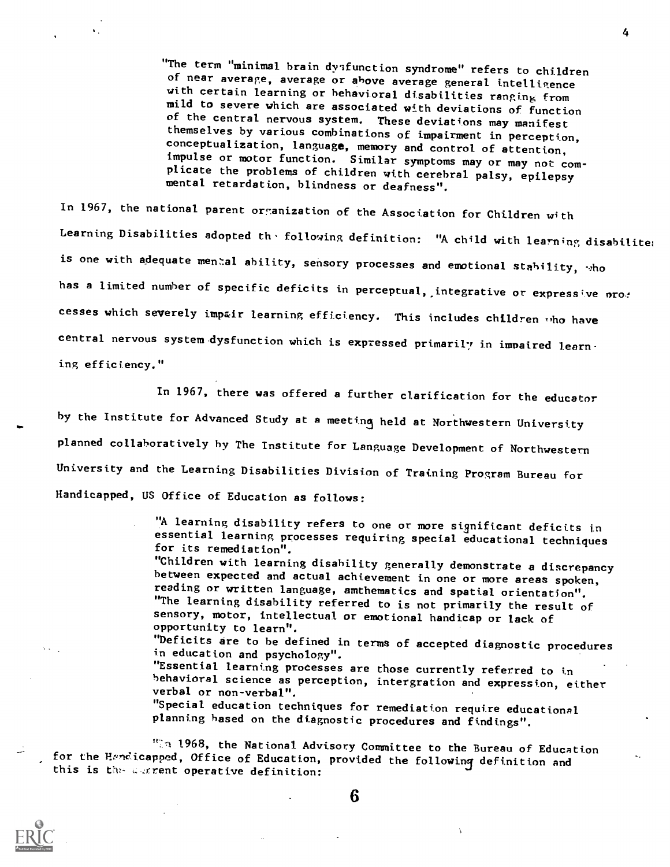"The term "minimal brain dysfunction syndrome" refers to children of near average, average or above average general intelligence mild to severe which are associated with deviations of function<br>of the central nervous system. These deviations may manifest themselves by various combinations of impairment in perception, conceptualization, language, memory and control of attention, impulse or motor function. Similar symptoms may or may not complicate the problems of children with cerebral palsy, epilepsy mental retardation, blindness or deafness".

In 1967, the national parent organization of the Association for Children with Learning Disabilities adopted the following definition: "A child with learning disabiliter is one with adequate mental ability, sensory processes and emotional stability,  $\cdot$ ho has a limited number of specific deficits in perceptual, integrative or expressive pro: cesses which severely impair learning efficiency. This includes children tho have central nervous system dysfunction which is expressed primarily in impaired learning efficiency."

In 1967, there was offered a further clarification for the educator by the Institute for Advanced Study at a meeting held at Northwestern University planned collaboratively by The Institute for Language Development of Northwestern University and the Learning Disabilities Division of Training Program Bureau for Handicapped, US Office of Education as follows:

> "A learning disability refers to one or more significant deficits in essential learning processes requiring special educational techniques for its remediation".

"Children with learning disability generally demonstrate a discrepancy between expected and actual achievement in one or more areas spoken, reading or written language, amthematics and spatial orientation". "The learning disability referred to is not primarily the result of sensory, motor, intellectual or emotional handicap or lack of opportunity to learn".

"Deficits are to be defined in terms of accepted diagnostic procedures in education and psychology".

"Essential learning processes are those currently referred to in behavioral science as perception, intergration and expression, either verbal or non-verbal".

 $\Delta$ 

"Special education techniques for remediation require educational planning based on the diagnostic procedures and findings".

 $"$   $\Box$   $\Box$  1968, the National Advisory Committee to the Bureau of Education for the Hendicapped, Office of Education, provided the following definition and this is the carrent operative definition:



6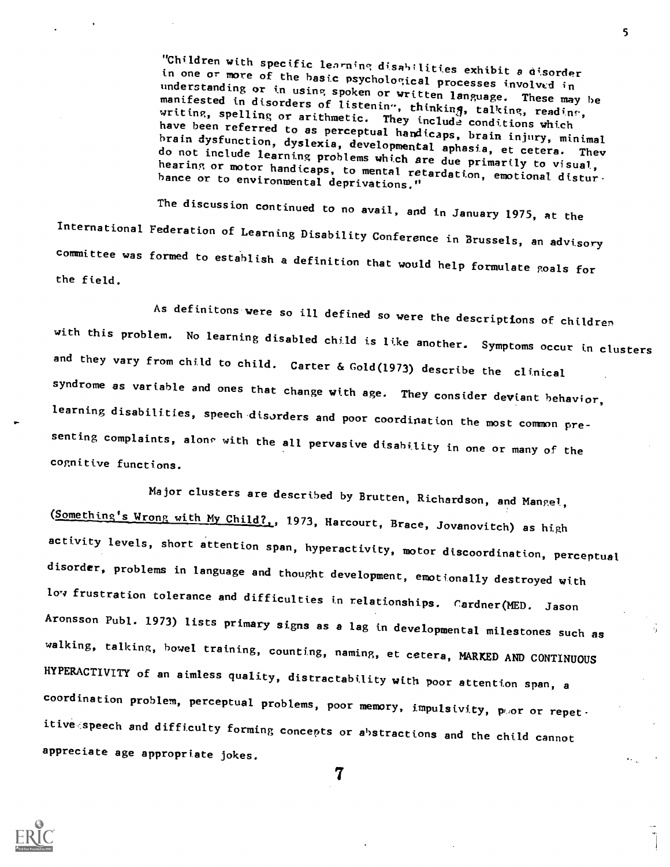"Children with specific learning disabilities exhibit a disorder in one or more of the basic psychological processes involved in understanding or in using spoken or written language. These may be manifested in disorders of listening, thinking, talking, reading, writing, spelling or arithmetic. They include conditions which<br>have been referred to as perceptual handicaps, brain injury, minimal<br>brain dysfunction, dyslexia, developmental aphasia, et cetera. They do not include learning problems which are due primarily to visual,<br>hearing or motor handicaps, to mental retardation, emotional disturbance or to environmental deprivations."

The discussion continued to no avail, and in January 1975, at the International Federation of Learning Disability Conference in Brussels, an advisory committee was formed to establish a definition that would help formulate goals for the field.

As definitons were so ill defined so were the descriptions of children with this problem. No learning disabled child is like another. Symptoms occur in clusters and they vary from child to child. Carter & Gold(1973) describe the clinical syndrome as variable and ones that change with age. They consider deviant behavior, learning disabilities, speech disorders and poor coordination the most common presenting complaints, along with the all pervasive disability in one or many of the cognitive functions.

Major clusters are described by Brutten, Richardson, and Mangel, (Something's Wrong with My Child?,, 1973, Harcourt, Brace, Jovanovitch) as high activity levels, short attention span, hyperactivity, motor discoordination, perceptual disorder, problems in language and thought development, emotionally destroyed with low frustration tolerance and difficulties in relationships. Cardner(MED. Jason Aronsson Publ. 1973) lists primary signs as a lag in developmental milestones such as walking, talking, bowel training, counting, naming, et cetera, MARKED AND CONTINUOUS HYPERACTIVITY of an aimless quality, distractability with poor attention span, a coordination problem, perceptual problems, poor memory, impulsivity, poor or repetitive speech and difficulty forming concepts or abstractions and the child cannot appreciate age appropriate jokes.

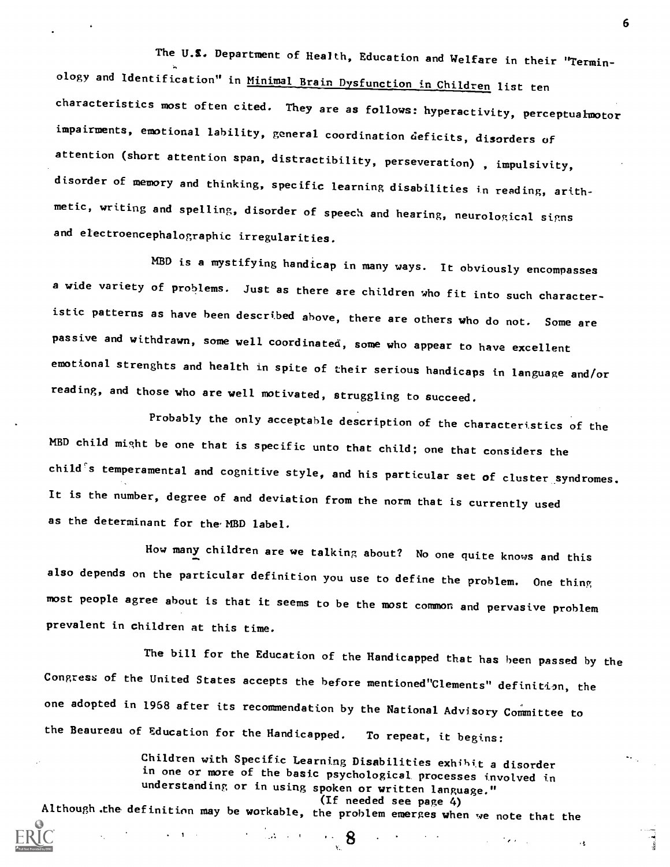The U.S. Department of Health, Education and Welfare in their "Terminology and Identification" in Minimal Brain Dysfunction in Children list ten characteristics most often cited. They are as follows: hyperactivity, perceptualmotor impairments, emotional lability, general coordination deficits, disorders of attention (short attention span, distractibility, perseveration) , impulsivity, disorder of memory and thinking, specific learning disabilities in reading, arithmetic, writing and spelling, disorder of speech and hearing, neurologicn1 signs and electroencephalographic irregularities.

MBD is a mystifying handicap in many ways. It obviously encompasses a wide variety of problems. Just as there are children who fit into such characteristic patterns as have been described above, there are others who do not. Some are passive and withdrawn, sone well coordinated, sone who appear to have excellent emotional strenghts and health in spite of their serious handicaps in language and/or reading, and those who are well motivated, struggling to succeed.

Probably the only acceptable description of the characteristics of the MBD child might be one that is specific unto that child; one that considers the child  $s$  temperamental and cognitive style, and his particular set of cluster syndromes. It is the number, degree of and deviation from the norm that is currently used as the determinant for the MBD label.

How many children are we talking AMR about? No one quite knows and this also depends on the particular definition you use to define the problem. One thing most people agree about is that it seems to be the most comnon and pervasive problem prevalent in children at this tine.

The bill for the Education of the Handicapped that has been passed by the Congress of the United States accepts the before mentioned"Clements" definition, the one adopted in 1968 after its recomendation by the National Advisory Committee to the Beaureau of Education for the Handicapped. To repeat, it begins:

Children with Specific Learning Disabilities exhibit a disorder in one or more of the basic psychological processes involved in understanding or in using spoken or written language." (If needed see page 4) Altheugh.the definitinn may be workable, the problem emerges when we note that the

8

 $\sim$ 

٠Ł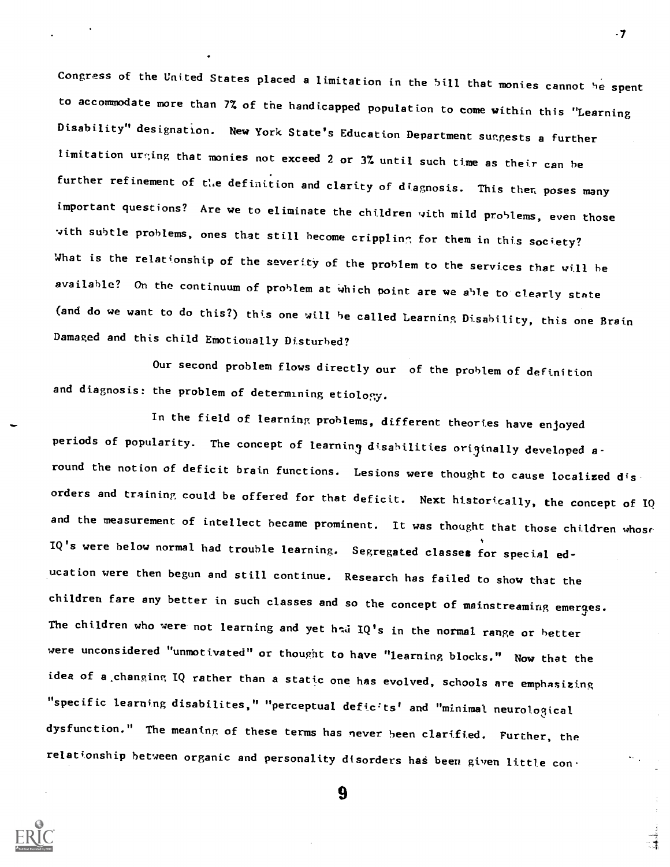Congress of the United States placed a limitation in the 5111 that monies cannot he spent to accommodate more than 77, of the handicapped population to come within this "Learning Disability" designation. New York State's Education Department suggests a further limitation urging that monies not exceed 2 or 3% until such time as their can be further refinement of the definition and clarity of diagnosis. This then poses many important questions? Are we to eliminate the children with mild problems, even those with subtle problems, ones that still become crippling for them in this society? What is the relationship of the severity of the problem to the services that will he available? On the continuum of problem at Which point are we able to clearly state (and do we want to do this?) this one will he called Learning Disability, this one Brain Damaged and this child Emotionally Disturbed?

-7

Our second problem flows directly our of the problem of definition and diagnosis: the problem of determining etiology.

In the field of learning problems, different theories have enjoyed periods of popularity. The concept of learning disabilities originally developed around the notion of deficit brain functions. Lesions were thought to cause localized disorders and training could be offered for that deficit. Next historically, the concept of IQ and the measurement of intellect became prominent. It was thought that those children whosr IQ's were below normal had trouble learning. Segregated classes for special education were then begun and still continue. Research has failed to show that the children fare any better in such classes and so the concept of mainstreaming emerges. The children who were not learning and yet had  $IQ's$  in the normal range or better were unconsidered "unmotivated" or thought to have "learning blocks." Now that the idea of a changing IQ rather than a static one has evolved, schools are emphasizing "specific learning disabilites," "perceptual deficits' and "minimal neurological dysfunction." The meaning of these terms has never been clarified. Further, the relationship between organic and personality disorders has been given little con-

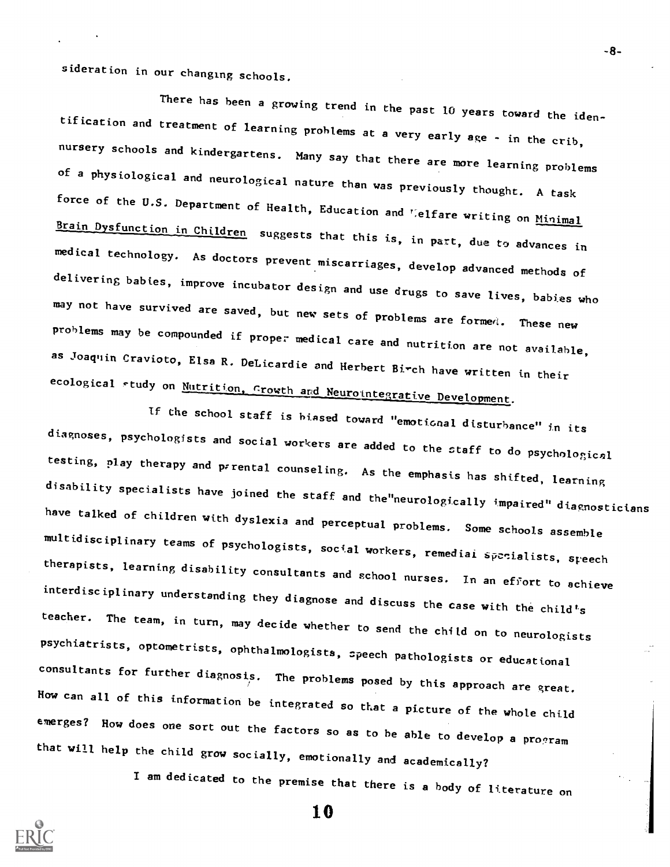sideration in our changing schools.

There has been a growing trend in the past 10 years toward the iden-<br>tification and treatment of learning problems at a very early age - in the crib,<br>nursery schools and kindergartens. Many say that there are more learning of a physiological and neurological nature than was previously thought. A task force of the U.S. Department of Health, Education and 'elfare writing on Minimal Brain Dysfunction in Children suggests that this is, in part, due to advances in medical technology. As doctors prevent miscarriages, develop advanced methods of<br>delivering babies, improve incubator design and use drugs to save lives, babies who may not have survived are saved, but new sets of problems are formed. These new problems may be compounded if proper medical care and nutrition are not available, as Joaquin Cravioto, Elsa R. DeLicardie and Herbert Birch have written in their ecological study on Nutrition, Growth and Neurointegrative Development.

If the school staff is biased toward "emotional disturbance" in its<br>diagnoses, psychologists and social workers are added to the staff to do psychological testing, play therapy and prrental counseling. As the emphasis has shifted, learning<br>disability specialists have joined the staff and the neurologically impaired" diagnosticians have talked of children with dyslexia and perceptual problems. Some schools assemble multidisciplinary teams of psychologists, social workers, remediai specialists, speech therapists, learning disability consultants and school nurses. In an effort to achieve interdisciplinary understanding they diagnose and discuss the case with the child's teacher. The team, in turn, may decide whether to send the child on to neurologists psychiatrists, optometrists, ophthalmologists, speech pathologists or educational<br>consultants for further diagnosis. The problems posed by this approach are great. How can all of this information be integrated so that a picture of the whole child emerges? How does one sort out the factors so as to be able to develop a program that will help the child grow socially, emotionally and academically?

I am dedicated to the premise that there is a body of literature on

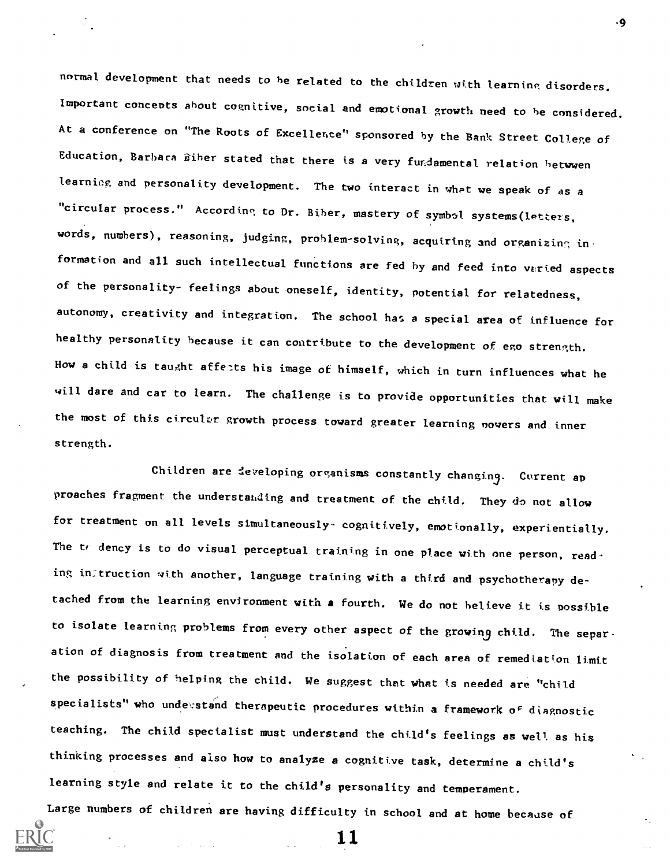normal development that needs to be related to the children with learning disorders. Important concepts about cognitive, social and emotional growth need to be considered. At a conference on "The Roots of Excellence" sponsored by the Bank Street College of Education, Barbara Biber stated that there is a very fundamental relation hetwwen learning and personality development. The two interact in what we speak of as a "circular process." According to Dr. Biber, mastery of symbol systems(lettets, words, numbers), reasoning, judging, prohlem-solving, acquiring and organizing information and all such intellectual functions are fed by and feed into varied aspects of the personality- feelings about oneself, identity, potential for relatedness, autonomy, creativity and integration. The school has a special area of influence for healthy personality because it can contribute to the development of ego strength. How a child is taught affects his image of himself, which in turn influences what he will dare and car to learn. The challenge is to provide opportunities that will make the most of this circular growth process toward greater learning powers and inner strength.

Children are developing organisms constantly changing. Current ap proaches fragment the understanding and treatment of the child. They do not allow for treatment on all levels simultaneously- cognitively, emotionally, experientially. The  $t_f$  dency is to do visual perceptual training in one place with one person, reading in:truction with another, language training with a third and psychotherapy detached from the learning environment with a fourth. We do not helieve it is possible to isolate learning problems from every other aspect of the growing child. The separation of diagnosis from treatment and the isolation of each area of remediation limit the possibility of helping the child. We suggest that what is needed are "child specialists" who undesstand therapeutic procedures within a framework of diagnostic teaching. The child specialist must understand the child's feelings as well as his thinking processes and also how to analyze a cognitive task, determine a child's learning style and relate it to the child's personality and temperament.

Large numbers of children are having difficulty in school and at home because of

11

-9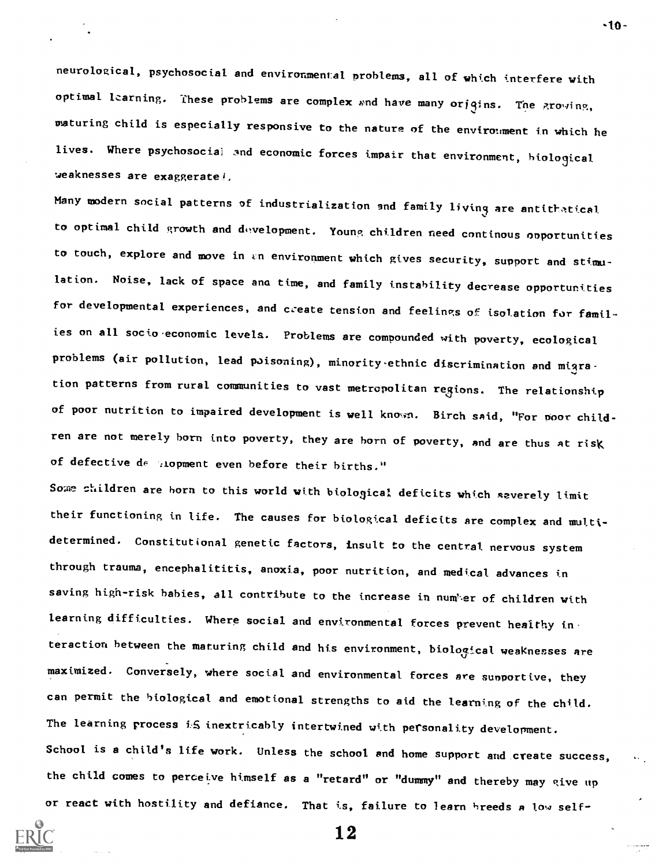neurological, psychosocial and environmental problems, all of which interfere with optimal learning. These problems are complex and have many origins. The growing, waturing child is especially responsive to the nature of the environment in which he lives. Where psychosocial and economic forces impair that environment, biological weaknesses are exaggerate!,

Many modern social patterns of industrialization and family living are antithatical to optimal child growth and diwelopment. Young children need cnntinous opportunities to touch, explore and move in an environment which gives security, support and stimulation. Noise, lack of space and time, and family instability decrease opportunities for developmental experiences, and create tension and feelings of isolation for families on all socio economic levels. Problems are compounded with poverty, ecological problems (air pollution, lead poisoning), minority-ethnic discrimination and migration patterns from rural communities to vast metropolitan regions. The relationship of poor nutrition to impaired development is well known. Birch said, "For poor children are not merely born into poverty, they are born of poverty, and are thus at risk of defective  $d\theta$ . Alopment even before their births."

Some shildren are born to this world with biological deficits which severely limit their functioning in life. The causes for biological deficits are complex and multidetermined. Constitutional genetic factors, insult to the central nervous system through trauma, encephalititis, anoxia, poor nutrition, and medical advances in saving high-risk babies, all contribute to the increase in numker of children with learning difficulties. Where social and environmental forces prevent healthy interaction between the maturing child and his environment, biological weaknesses are maximized. Conversely, where social and environmental forces are sunportive, they can permit the biological and emotional strengths to aid the learning of the child. The learning process i.S inextricably intertwined with personality development. School is a child's life work. Unless the school and home support and create success, we the child comes to perceive himself as a "retard" or "dummy" and thereby may give up or react with hostility and defiance. That is, failure to learn breeds a low self-



12

-10-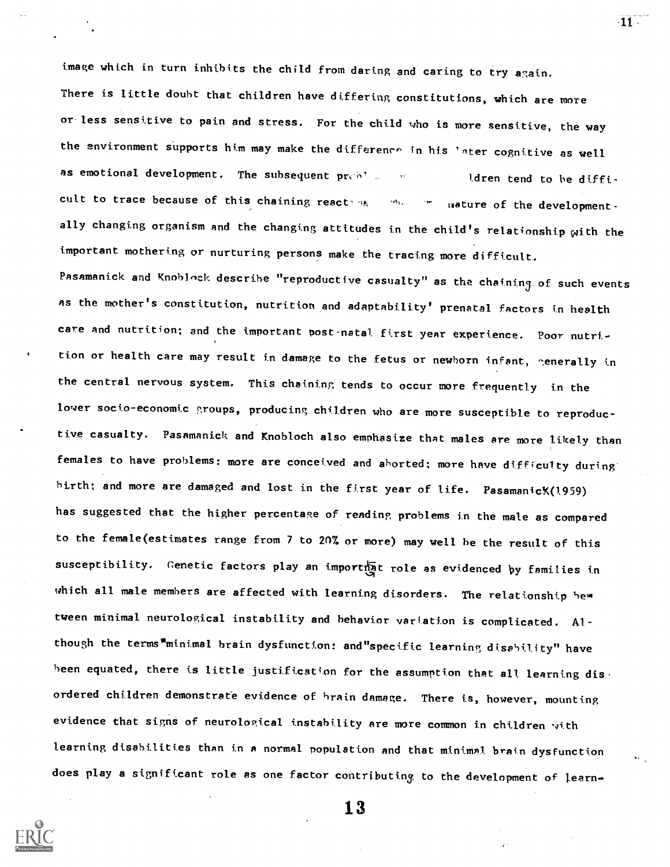image which in turn inhibits the child from daring and caring to try again. There is little doubt that children have differing constitutions, which are more or less sensitive to pain and stress. For the child who is more sensitive, the way the environment supports him may make the difference in his 'ater cognitive as well as emotional development. The subsequent  $pr_{\mathbb{C}}$  of  $\mathbb{C}$  and the difficult of the difficult of the difficult of  $pr_{\mathbb{C}}$  of  $\mathbb{C}$  and the difficult of  $\mathbb{C}$  and  $\mathbb{C}$  of  $\mathbb{C}$  of  $\mathbb{C}$  of  $\mathbb{C}$  cult to trace because of this chaining react under the unsture of the developmentally changing organism and the changing attitudes in the child's relationship with the important mothering or nurturing persons make the tracing more difficult. Pasamanick and Knoblock describe "reproductive casualty" as the chaining of such events AS the mother's constitution, nutrition and adaptability' prenatal factors in health care and nutrition; and the important post-natal first year experience. Poor nutrition or health care may result in damage to the fetus or newborn infant, generally in the central nervous system. This chaining tends to occur more frequently in the lover socio-economic groups, producing children who are more susceptible to reproductive casualty. Pasamanick and Knobloch also emphasize that males are more likely than females to have problems: more are conceived and aborted; more have difficulty during' birth; and more are damaged and lost in the first year of life. Pasamanic (1959) has suggested that the higher percentage of reading problems in the male as compared to the female(estimates range from 7 to 207. or more) may well be the result of this susceptibility. Genetic factors play an importhat role as evidenced by families in which all male members are affected with learning disorders. The relationship be $\ast$ tween minimal neurological instability and behavior variation is complicated. Although the terms"minimal brain dysfunction: and"specific learning disability" have been equated, there is little justification for the assumption that all learning disordered children demonstrate evidence of brain damage. There is, however, mounting evidence that signs of neurological instability are more common in children with learning disabilities than in a normal population and that minimal brain dysfunction does play a significant role as one factor contributing to the development of learn-

13

 $\cdot$ 11  $\cdot$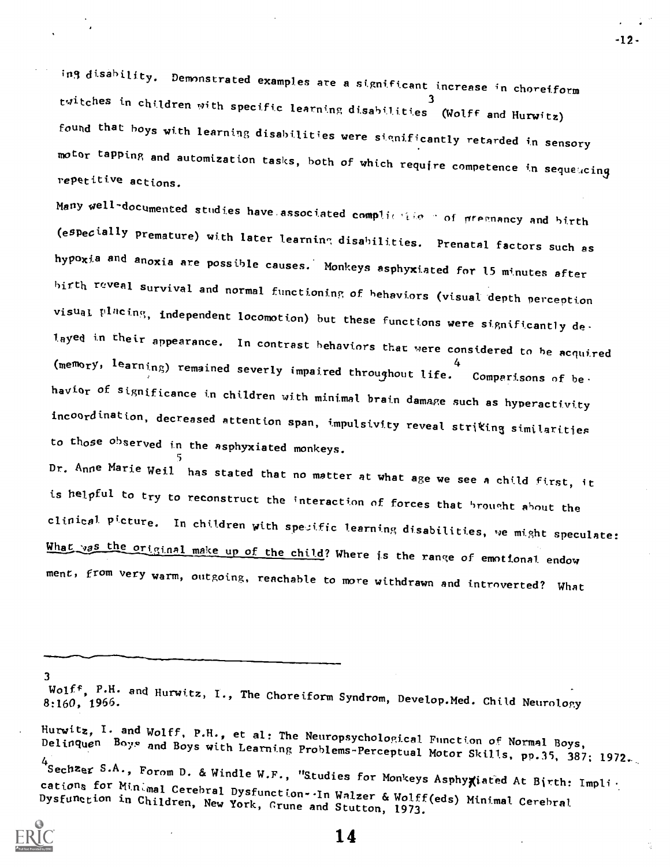ing disability. Demonstrated examples are a significant increase in choreiform twitches in children with specific learning disabilities (Wolff and Hurwitz) foupd that boys with learning disabilities were significantly retarded in sensory motor tapping and automization tasks, both of which require competence in sequetcing repetitive actions.

Many well-documented studies have associated complicities in of pregnancy and birth<br>(especially premature) with later learning disabilities. Prenatal factors such as hypoxia and anoxia are possible causes. Monkeys asphyxiated for 15 minutes after birth reveal survival and normal functioning of behaviors (visual depth perception visual placing, independent locomotion) but these functions were significantly delayed in their appearance. In contrast behaviors that were considered to be acquired ( ${\sf memory}$ , learning) remained severly impaired throughout life. Comparisons of behavior of significance tn children with minimal brain damage such as hyperactivity incoordination, decreased attention span, impulsivity reveal striking similarities to those observed in the asphyxiated monkeys.

Dr. Anne Marie Weil has stated that no matter at what age we see a child first, it is helpful to try to reconstruct the interaction of forces that brought about the clinical Picture. In children with spezific learning disabilities, ve might speculate: What yas the original make up of the child? Where is the range of emotional endow ment, from very warm, outgoing, reachable to more withdrawn and introverted? What

3

Hurwitz, I. and Wolff, P.H., et al: The Neuropsychological Function of Normal Boys,<br>Delinquen Boys and Boys with Learning Problems-Perceptual Motor Skills, pp.35, 387; 1972. 4<br>Sechzer S.A., Forom D. & Windle W.F., "Studies for Monkeys Asphyxiated At Birth: Impli-<br>cations for Minimal Cerebral Dysfunction-.In Walzer & Wolff(eds) Minimal Cerebral<br>Dysfunction in Children, New York, Grune and Stutt



14

-12-

Wolff, <sup>P.H.</sup> and Hurwitz, I., The Choreiform Syndrom, Develop.Med. Child Neurology<br>8:160, 1966.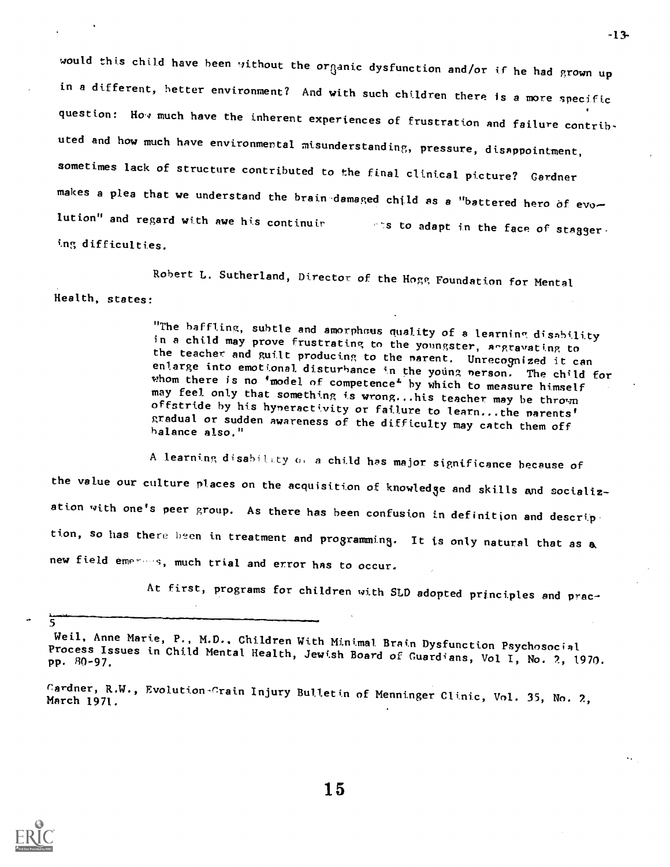would this child have been without the organic dysfunction and/or if he had grown up in a different, hetter environment? And with such chtldren there is a more specific question: How much have the inherent experiences of frustration and failure contributed and how much have environmental misunderstanding, pressure, disappointment, sometimes lack of structure contributed to the final clinical picture? Gardner makes a plea that we understand the brain-damaged child as a "battered hero of evo-<br>lution" and regard with awe his continuir  $\mathbb{R}^n$  is to adapt in the face of stagger. ing difficulties.

Robert L. Sutherland, Director of the Hogg Foundation for Mental Health, states:

> "The baffling, subtle and amorphous quality of a learning disability<br>in a child may prove frustrating to the youngster, angravating to<br>the teacher and guilt producing to the parent. Unrecognized it can<br>enlarge into emotio gradual or sudden awareness of the difficulty may catch them off<br>balance also."

A learning disability or a child has major significance because of the value our culture places on the acquisition of knowledge and skills and socialization with one's peer group. As there has been confusion in definition and description, so has there been in treatment and programming. It is only natural that as a new field emerses, much trial and error has to occur.

At first, programs for children with SLD adopted principles and prac-

<u> दु</u>



Weil, Anne Marie, P., M.D., Children With Minimal Brain Dysfunction Psychosocial<br>Process Issues in Child Mental Health, Jewish Board of Guardians, Vol I, No. 2, 1970.<br>pp. 80-97.

Cardner, R.W., Evolution-Crain Injury Bulletin of Menninger Clinic, Vol. 35, No. 2,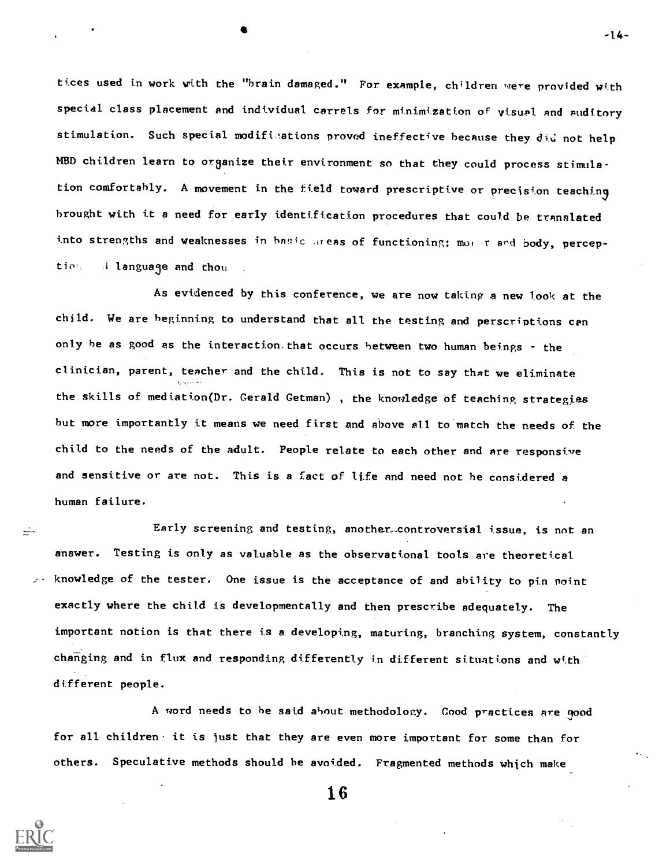tices used in work with the "brain damaged." For example, children were provided with special class placement and individual carrels for minimization of visual and auditory stimulation. Such special modifinations proved ineffective because they did not help MBD children learn to organize their environment so that they could process stimulation comfortably. A movement in the field toward prescriptive or precision teaching brought with it a need for early identification procedures that could be translated into strengths and weaknesses in hasic areas of functioning: moter and body, perception, i language and thou

-1.4-

 $\bullet$  and  $\bullet$  and  $\bullet$ 

As evidenced by this conference, we are now taking a new look at the child. We are beginning to understand that all the testing and perscriptions can only be as good es the interaction.that occurs between two human beings - the clinician, parent, teacher and the child. This is not to say that we eliminate the skills of mediation(Dr. Gerald Getman), the knowledge of teaching strategies but more importantly it means we need first and above all to match the needs of the child to the needs of the adult. People relate to each other and Are responsive and sensitive or are not. This is a fact of life and need not be considered a human failure.

Early screening and testing, another-controversial issue, is not an answer. Testing is only as valuable as the observational tools are theoretical knowledge of the tester. One issue is the acceptance of and ability to pin point exactly where the child is developmentally and then prescribe adequately. The important notion is that there is a developing, maturing, branching system, constantly changing and in flux and responding differently in different situations and with different people.

A word needs to he said about methodology. Good practices Are good for all children it is just that they are even more important for some than for others. Speculative methods should be avoided. Fragmented methods which make

 $\frac{1}{2}$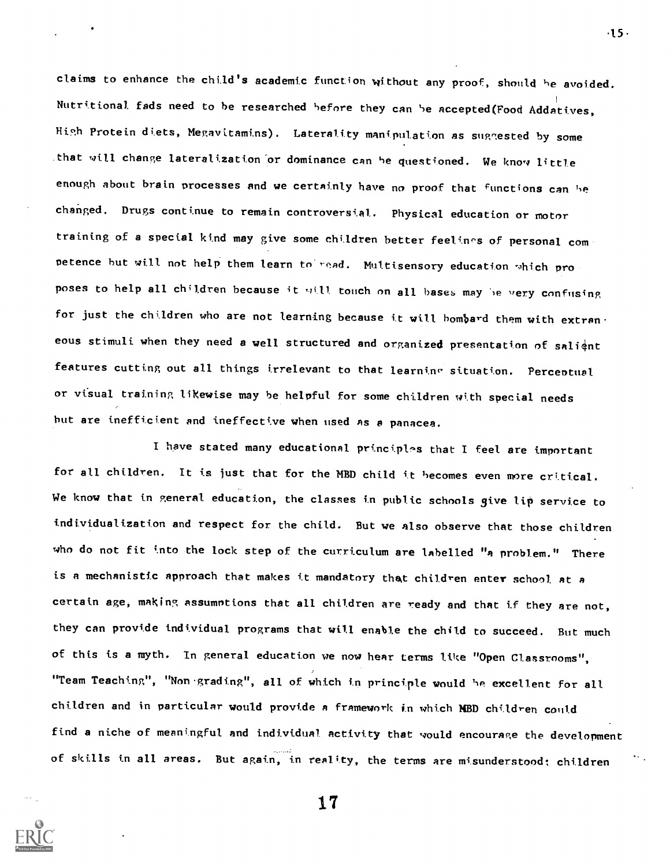claims to enhance the child's academic function without any proof, should he avoided. Nutritional fads need to be researched before they can be accepted(Food Addatives, High Protein diets, Megavttamins). Laterality manipulation as suggested by some .that will change lateralization'or dominance can he questioned. We know little enough about brain processes and we certainly have no proof that functions can he changed. Drugs continue to remain controversial. Physical education or motor training of a special kind may give some children better feelings of personal competence but will not help them learn to read. Multisensory education which pro poses to help all children because it will touch on all bases may be very confusing for just the children who are not learning because it will bombard them with extran. eous stimuli when they need a well structured and organized presentation of salignt features cutting out all things irrelevant to that learning situation. Perceptual or visual training likewise may be helpful for some children with special needs hut are inefficient and ineffective when used AS a panacea.

I have stated many educational principles that I feel are important for all children. It is just that for the MBD child it becomes even more critical. We know that in general education, the classes in public schools give lip service to individualization and respect for the child. But we also observe that those children who do not fit into the lock step of the curriculum are labelled "a problem." There is a mechanistic approach that makes it mandatory that children enter school at a certain age, making assumotions that all children are ready and that if they are not, they can provide individual programs that will enable the child to succeed. But much of this is a myth. In general education we now hear terms like "Open Classrooms", "Team Teaching", "Non grading", all of which in principle would be excellent for all children and in particular would provide a framework in which MBD children could find a niche of meaningful and individual activity that would encourage the development of skills in all areas. But again, in reality, the terms are misunderstood; children

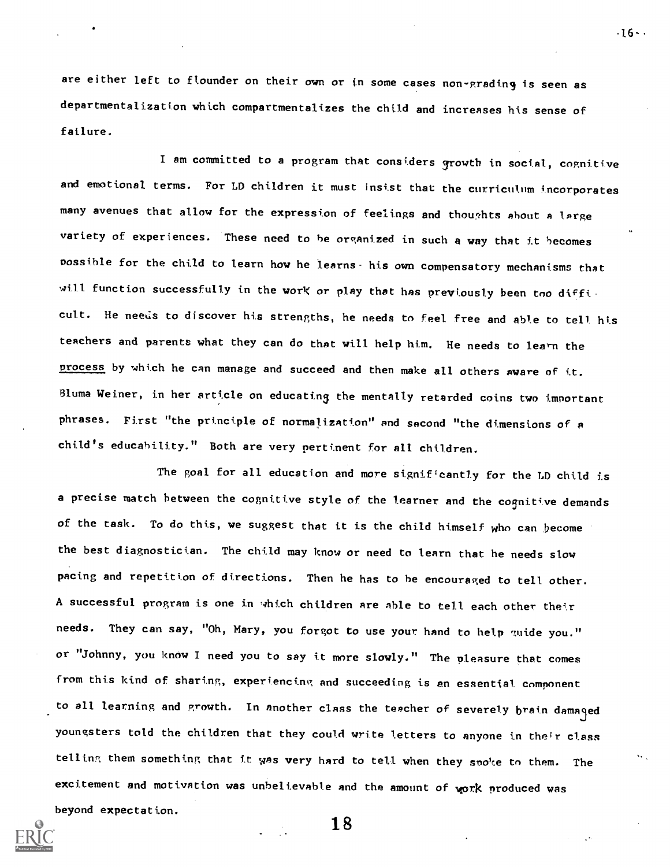are either left to flounder on their own or in some cases non-grading is seen as departmentalization which compartmentalizes the child and increases his sense of failure.

 $.16 - .$ 

I am committed to a program that considers growth in social, cognitive and emotional terms. For LD children it must insist that the curriculum incorporates many avenues that allow for the expression of feelings and thoughts about a large variety of experiences. These need to be organized in such a way that it becomes nossible for the child to learn how he learns- his own compensatory mechanisms that will function successfully in the work or play that has previously been too difficult. He needs to discover his strengths, he needs to feel free and able to tell his teachers and parents what they can do that will help him. He needs to learn the process by which he can manage and succeed and then make all others aware of it. Bluma Weiner, in her article on educating the mentally retarded coins two important phrases. First "the principle of normalization" and second "the dimensions of a child's educability." Both are very pertinent for all children.

The goal for all education and more signif'cantly for the LD child is a precise match between the cognitive style of the learner and the cognitive demands of the task. To do this, we suggest that it is the child himself who can become the best diagnostician. The child may know or need to learn that he needs slow pacing and repetition of directions. Then he has to be encouraged to tell other. A successful program is one in which children are able to tell each other their needs. They can say, "Oh, Mary, you forgot to use your hand to help guide you." or "Johnny, you know I need you to say it more slowly." The pleasure that comes from this kind of sharing, experiencing and succeeding is an essential component to all learning and growth. In another class the teacher of severely brain damayd youngsters told the children that they could write letters to anyone in their class telling them something that it was very hard to tell when they spoke to them. The excitement and motivation was unbelievable and the amount of work produced was beyond expectation.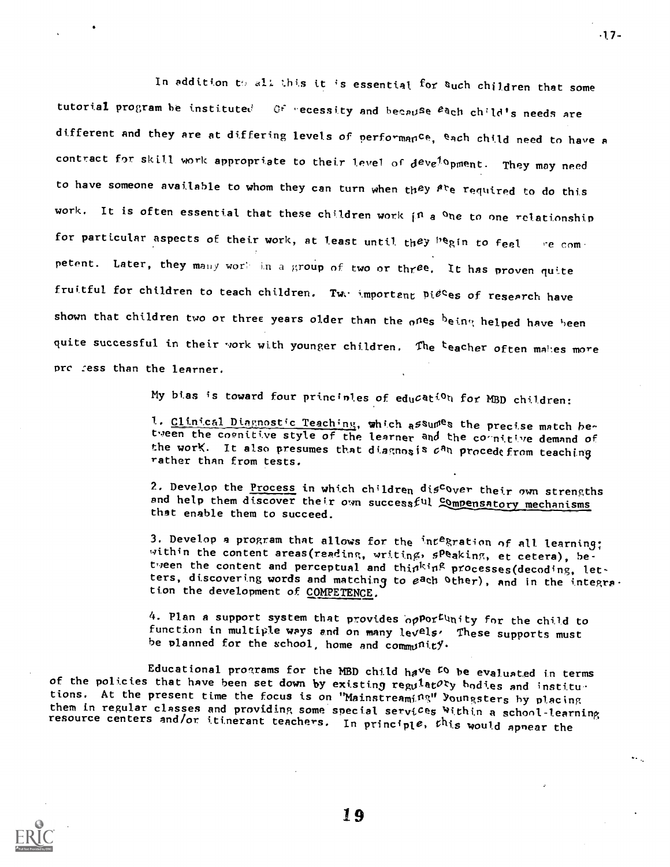In addition to all this it is essential for Such children that some tutorial program be instituted Of recessity and because each child's needs are different and they are at differing levels of performance, each child need to have a contract for skill work appropriate to their level of  $d^{ev}e^{f_0}$ pment. They may need to have someone available to whom they can turn when they  $A<sup>tr</sup>e$  required to do this work. It is often essential that these children work in a one to one relationship for particular aspects of their work, at least until they  $P^{\text{eq}}(n)$  to feel re competent. Later, they many work in a group of two or three. It has proven quite fruitful for children to teach children. Two important pieces of research have shown that children two or three years older than the  $_0$ nes  $_0$ ein $_3$  helped have been quite successful in their work with younger children. The teacher often makes more pre :ess than the learner.

My bias is toward four princinles of education for MBD children:

1. Clinical Diagnostic Teaching, which assumes the precise match between the coenitive style of the learner and the cornitive demand of the work. It also presumes that diagnosis  $c^{n}$ n procedefrom teaching rather than from tests.

2. Develop the Process in which children discover their own strengths and help them discover their own successful Compensatory mechanisms that enable them to succeed.

3. Develop a program that allows for the integration of all learning; within the content areas(reading, writing, sPeaking, et cetera), between the content and perceptual and thinking processes(decoding, letters, discovering words and matching to each other), and in the integra. tion the development of COMPETENCE.

4. Plan a support system that provides opPor<sup>tu</sup>nity for the child to function in multiple ways and on many levels. These supports must be planned for the school, home and community.

Educational programs for the MBD child have <sup>to</sup> be evaluated in terms of the policies that have been set down by existing regulatory bodies and institu. tions. At the present time the focus is on "Mainstreaming" Youngsters by placing<br>them in regular classes and providing some special services Within a school-learning them in regular conterns and/or itinerant teachers. In principle, this would apnear the



 $-17-$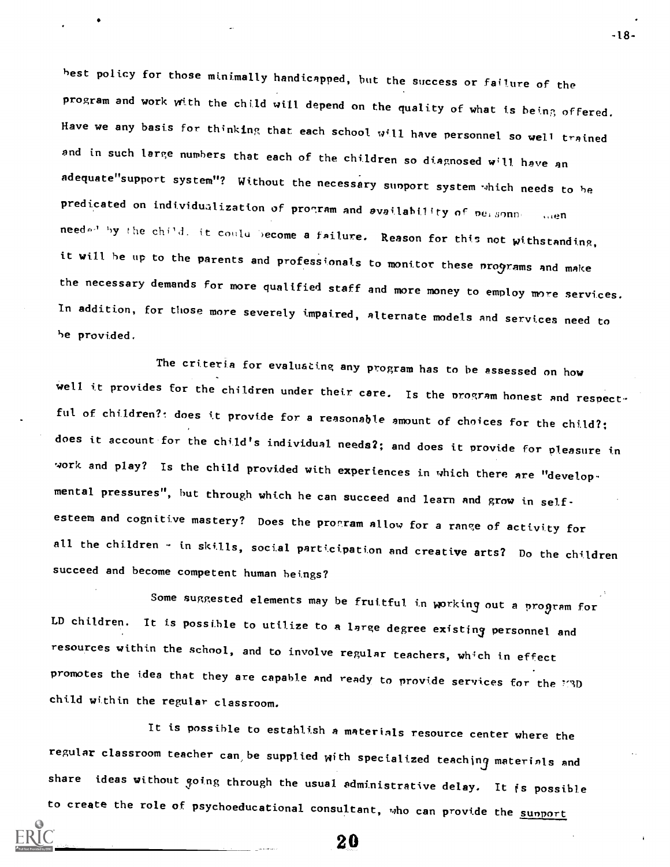best policy for those minimally handicapped, but the success or failure of the program and work with the child will depend on the quality of what is being offered. Have we any basis for thinking that each school will have personnel so well trained and in such large numbers that each of the children so diagnosed will have an adequate"support system"? Without the necessary support system which needs to be predicated on individualization of program and availability of nersonnoncement needed by the child, it coulu become a failure. Reason for this not withstanding, it will be up to the parents and professionals to monitor these programs and make the necessary demands for more qualified staff and more money to employ more services. In addition, for those more severely impaired, alternate models and services need to be provided.

The criteria for evaluating any program has to be assessed on how well it provides for the children under their care. Is the program honest and respectful of children?: does it provide for a reasonable amount of choices for the child?; does it account for the child's individual needs2; and does it provide for pleasure in work and play? Is the child provided with experiences in which there are "developmental pressures", but through which he can succeed and learn And grow in selfesteem and cognitive mastery? Does the program allow for a range of activity for all the children - in skills, social participation and creative arts? Do the children succeed and become competent human beings?

Some suggested elements may be fruitful in working out a program for LD children. It is possible to utilize to a large degree existing personnel and resources within the school, and to involve regular teachers, which in effect promotes the idea that they are capable and ready to provide services for the 77D child within the regular classroom.

It is possible to establish a materials resource center where the regular classroom teacher can, be supplied with specialized teaching materials and share ideas without going through the usual administrative delay. It is possible to create the role of psychoeducational consultant, who can provide the sumport

-18-